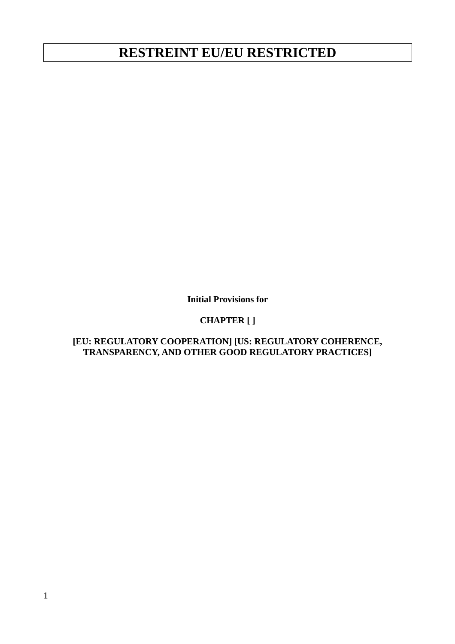**Initial Provisions for**

### **CHAPTER [ ]**

**[EU: REGULATORY COOPERATION] [US: REGULATORY COHERENCE, TRANSPARENCY, AND OTHER GOOD REGULATORY PRACTICES]**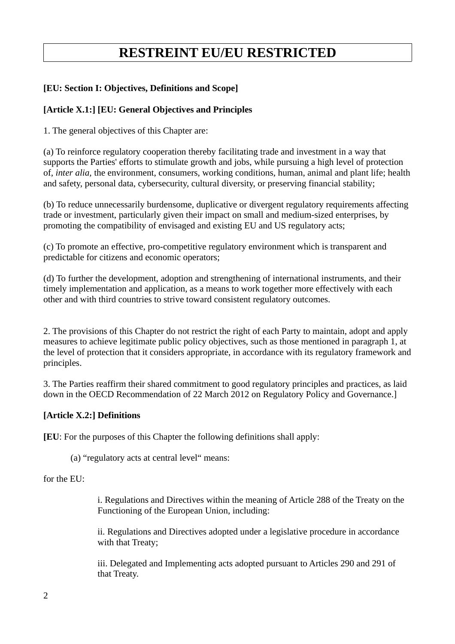### **[EU: Section I: Objectives, Definitions and Scope]**

#### **[Article X.1:] [EU: General Objectives and Principles**

1. The general objectives of this Chapter are:

(a) To reinforce regulatory cooperation thereby facilitating trade and investment in a way that supports the Parties' efforts to stimulate growth and jobs, while pursuing a high level of protection of, *inter alia,* the environment, consumers, working conditions, human, animal and plant life; health and safety, personal data, cybersecurity, cultural diversity, or preserving financial stability;

(b) To reduce unnecessarily burdensome, duplicative or divergent regulatory requirements affecting trade or investment, particularly given their impact on small and medium-sized enterprises, by promoting the compatibility of envisaged and existing EU and US regulatory acts;

(c) To promote an effective, pro-competitive regulatory environment which is transparent and predictable for citizens and economic operators;

(d) To further the development, adoption and strengthening of international instruments, and their timely implementation and application, as a means to work together more effectively with each other and with third countries to strive toward consistent regulatory outcomes.

2. The provisions of this Chapter do not restrict the right of each Party to maintain, adopt and apply measures to achieve legitimate public policy objectives, such as those mentioned in paragraph 1, at the level of protection that it considers appropriate, in accordance with its regulatory framework and principles.

3. The Parties reaffirm their shared commitment to good regulatory principles and practices, as laid down in the OECD Recommendation of 22 March 2012 on Regulatory Policy and Governance.]

#### **[Article X.2:] Definitions**

**[EU**: For the purposes of this Chapter the following definitions shall apply:

(a) "regulatory acts at central level" means:

for the  $EUP$ 

i. Regulations and Directives within the meaning of Article 288 of the Treaty on the Functioning of the European Union, including:

ii. Regulations and Directives adopted under a legislative procedure in accordance with that Treaty;

iii. Delegated and Implementing acts adopted pursuant to Articles 290 and 291 of that Treaty.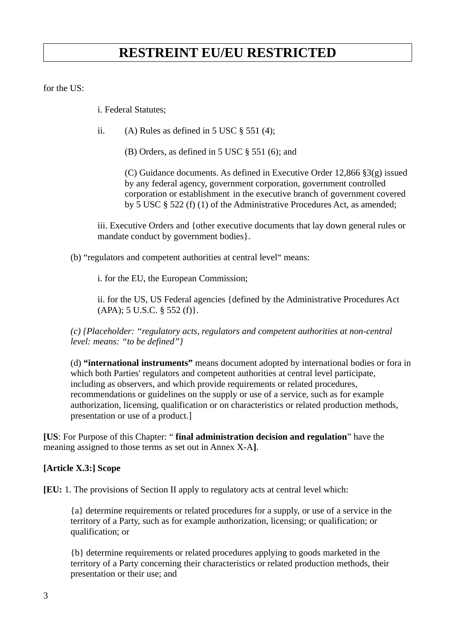for the US:

i. Federal Statutes;

ii. (A) Rules as defined in  $5 \text{ USC} \$ § 551 (4);

(B) Orders, as defined in 5 USC  $\S$  551 (6); and

(C) Guidance documents. As defined in Executive Order 12,866 §3(g) issued by any federal agency, government corporation, government controlled corporation or establishment in the executive branch of government covered by 5 USC § 522 (f) (1) of the Administrative Procedures Act, as amended;

iii. Executive Orders and {other executive documents that lay down general rules or mandate conduct by government bodies}.

(b) "regulators and competent authorities at central level" means:

i. for the EU, the European Commission;

ii. for the US, US Federal agencies {defined by the Administrative Procedures Act  $(APA); 5 U.S.C. § 552 (f).$ 

*(c) {Placeholder: "regulatory acts, regulators and competent authorities at non-central level: means: "to be defined"}*

(d) **"international instruments"** means document adopted by international bodies or fora in which both Parties' regulators and competent authorities at central level participate, including as observers, and which provide requirements or related procedures, recommendations or guidelines on the supply or use of a service, such as for example authorization, licensing, qualification or on characteristics or related production methods, presentation or use of a product.]

**[US**: For Purpose of this Chapter: " **final administration decision and regulation**" have the meaning assigned to those terms as set out in Annex X-A**]**.

#### **[Article X.3:] Scope**

**[EU:** 1. The provisions of Section II apply to regulatory acts at central level which:

{a} determine requirements or related procedures for a supply, or use of a service in the territory of a Party, such as for example authorization, licensing; or qualification; or qualification; or

{b} determine requirements or related procedures applying to goods marketed in the territory of a Party concerning their characteristics or related production methods, their presentation or their use; and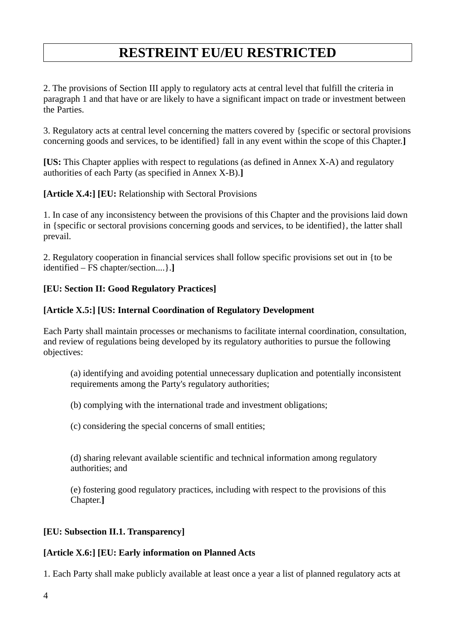2. The provisions of Section III apply to regulatory acts at central level that fulfill the criteria in paragraph 1 and that have or are likely to have a significant impact on trade or investment between the Parties.

3. Regulatory acts at central level concerning the matters covered by {specific or sectoral provisions concerning goods and services, to be identified} fall in any event within the scope of this Chapter.**]**

**[US:** This Chapter applies with respect to regulations (as defined in Annex X-A) and regulatory authorities of each Party (as specified in Annex X-B).**]**

**[Article X.4:] [EU:** Relationship with Sectoral Provisions

1. In case of any inconsistency between the provisions of this Chapter and the provisions laid down in {specific or sectoral provisions concerning goods and services, to be identified}, the latter shall prevail.

2. Regulatory cooperation in financial services shall follow specific provisions set out in {to be identified – FS chapter/section....}.**]**

#### **[EU: Section II: Good Regulatory Practices]**

#### **[Article X.5:] [US: Internal Coordination of Regulatory Development**

Each Party shall maintain processes or mechanisms to facilitate internal coordination, consultation, and review of regulations being developed by its regulatory authorities to pursue the following objectives:

(a) identifying and avoiding potential unnecessary duplication and potentially inconsistent requirements among the Party's regulatory authorities;

(b) complying with the international trade and investment obligations;

(c) considering the special concerns of small entities;

(d) sharing relevant available scientific and technical information among regulatory authorities; and

(e) fostering good regulatory practices, including with respect to the provisions of this Chapter.**]**

#### **[EU: Subsection II.1. Transparency]**

### **[Article X.6:] [EU: Early information on Planned Acts**

1. Each Party shall make publicly available at least once a year a list of planned regulatory acts at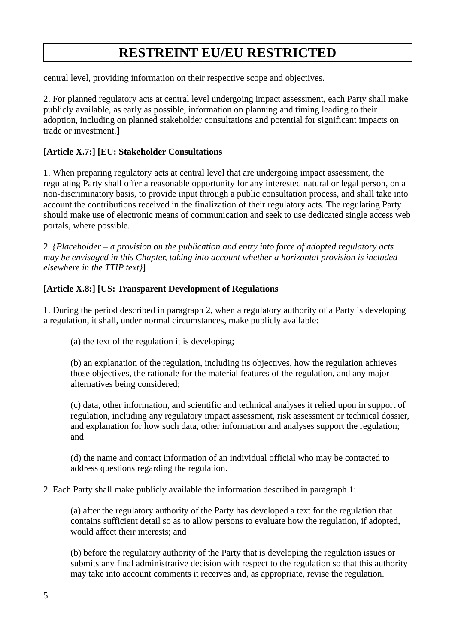central level, providing information on their respective scope and objectives.

2. For planned regulatory acts at central level undergoing impact assessment, each Party shall make publicly available, as early as possible, information on planning and timing leading to their adoption, including on planned stakeholder consultations and potential for significant impacts on trade or investment.**]**

### **[Article X.7:] [EU: Stakeholder Consultations**

1. When preparing regulatory acts at central level that are undergoing impact assessment, the regulating Party shall offer a reasonable opportunity for any interested natural or legal person, on a non-discriminatory basis, to provide input through a public consultation process, and shall take into account the contributions received in the finalization of their regulatory acts. The regulating Party should make use of electronic means of communication and seek to use dedicated single access web portals, where possible.

2. *{Placeholder – a provision on the publication and entry into force of adopted regulatory acts may be envisaged in this Chapter, taking into account whether a horizontal provision is included elsewhere in the TTIP text}***]**

### **[Article X.8:] [US: Transparent Development of Regulations**

1. During the period described in paragraph 2, when a regulatory authority of a Party is developing a regulation, it shall, under normal circumstances, make publicly available:

(a) the text of the regulation it is developing;

(b) an explanation of the regulation, including its objectives, how the regulation achieves those objectives, the rationale for the material features of the regulation, and any major alternatives being considered;

(c) data, other information, and scientific and technical analyses it relied upon in support of regulation, including any regulatory impact assessment, risk assessment or technical dossier, and explanation for how such data, other information and analyses support the regulation; and

(d) the name and contact information of an individual official who may be contacted to address questions regarding the regulation.

2. Each Party shall make publicly available the information described in paragraph 1:

(a) after the regulatory authority of the Party has developed a text for the regulation that contains sufficient detail so as to allow persons to evaluate how the regulation, if adopted, would affect their interests; and

(b) before the regulatory authority of the Party that is developing the regulation issues or submits any final administrative decision with respect to the regulation so that this authority may take into account comments it receives and, as appropriate, revise the regulation.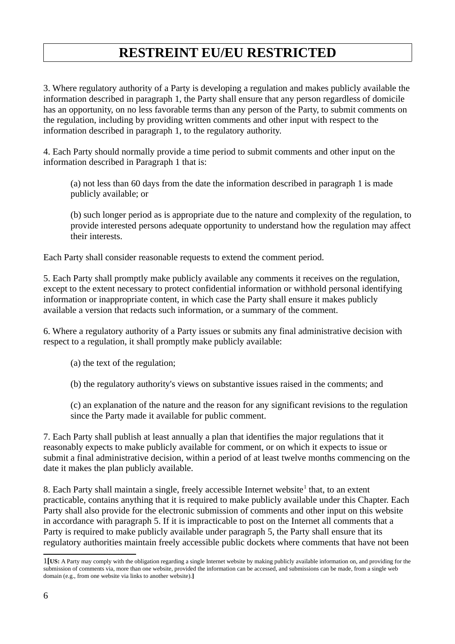3. Where regulatory authority of a Party is developing a regulation and makes publicly available the information described in paragraph 1, the Party shall ensure that any person regardless of domicile has an opportunity, on no less favorable terms than any person of the Party, to submit comments on the regulation, including by providing written comments and other input with respect to the information described in paragraph 1, to the regulatory authority.

4. Each Party should normally provide a time period to submit comments and other input on the information described in Paragraph 1 that is:

(a) not less than 60 days from the date the information described in paragraph 1 is made publicly available; or

(b) such longer period as is appropriate due to the nature and complexity of the regulation, to provide interested persons adequate opportunity to understand how the regulation may affect their interests.

Each Party shall consider reasonable requests to extend the comment period.

5. Each Party shall promptly make publicly available any comments it receives on the regulation, except to the extent necessary to protect confidential information or withhold personal identifying information or inappropriate content, in which case the Party shall ensure it makes publicly available a version that redacts such information, or a summary of the comment.

6. Where a regulatory authority of a Party issues or submits any final administrative decision with respect to a regulation, it shall promptly make publicly available:

(a) the text of the regulation;

(b) the regulatory authority's views on substantive issues raised in the comments; and

(c) an explanation of the nature and the reason for any significant revisions to the regulation since the Party made it available for public comment.

7. Each Party shall publish at least annually a plan that identifies the major regulations that it reasonably expects to make publicly available for comment, or on which it expects to issue or submit a final administrative decision, within a period of at least twelve months commencing on the date it makes the plan publicly available.

8. Each Party shall maintain a single, freely accessible Internet website<sup>1</sup> that, to an extent practicable, contains anything that it is required to make publicly available under this Chapter. Each Party shall also provide for the electronic submission of comments and other input on this website in accordance with paragraph 5. If it is impracticable to post on the Internet all comments that a Party is required to make publicly available under paragraph 5, the Party shall ensure that its regulatory authorities maintain freely accessible public dockets where comments that have not been

<sup>1</sup>**[US:** A Party may comply with the obligation regarding a single Internet website by making publicly available information on, and providing for the submission of comments via, more than one website, provided the information can be accessed, and submissions can be made, from a single web domain (e.g., from one website via links to another website).**]**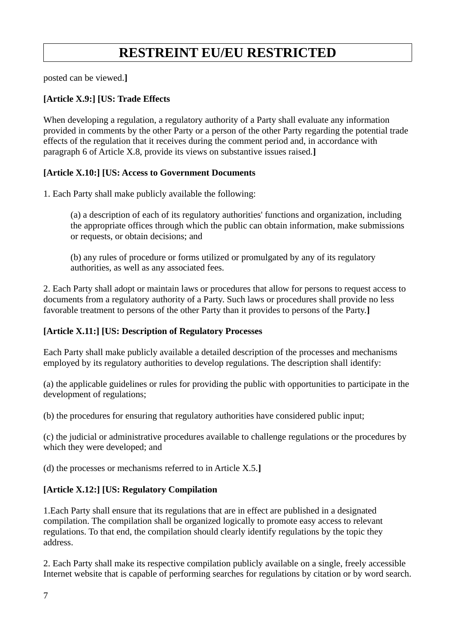posted can be viewed.**]**

### **[Article X.9:] [US: Trade Effects**

When developing a regulation, a regulatory authority of a Party shall evaluate any information provided in comments by the other Party or a person of the other Party regarding the potential trade effects of the regulation that it receives during the comment period and, in accordance with paragraph 6 of Article X.8, provide its views on substantive issues raised.**]**

#### **[Article X.10:] [US: Access to Government Documents**

1. Each Party shall make publicly available the following:

(a) a description of each of its regulatory authorities' functions and organization, including the appropriate offices through which the public can obtain information, make submissions or requests, or obtain decisions; and

(b) any rules of procedure or forms utilized or promulgated by any of its regulatory authorities, as well as any associated fees.

2. Each Party shall adopt or maintain laws or procedures that allow for persons to request access to documents from a regulatory authority of a Party. Such laws or procedures shall provide no less favorable treatment to persons of the other Party than it provides to persons of the Party.**]**

### **[Article X.11:] [US: Description of Regulatory Processes**

Each Party shall make publicly available a detailed description of the processes and mechanisms employed by its regulatory authorities to develop regulations. The description shall identify:

(a) the applicable guidelines or rules for providing the public with opportunities to participate in the development of regulations;

(b) the procedures for ensuring that regulatory authorities have considered public input;

(c) the judicial or administrative procedures available to challenge regulations or the procedures by which they were developed; and

(d) the processes or mechanisms referred to in Article X.5.**]**

#### **[Article X.12:] [US: Regulatory Compilation**

1.Each Party shall ensure that its regulations that are in effect are published in a designated compilation. The compilation shall be organized logically to promote easy access to relevant regulations. To that end, the compilation should clearly identify regulations by the topic they address.

2. Each Party shall make its respective compilation publicly available on a single, freely accessible Internet website that is capable of performing searches for regulations by citation or by word search.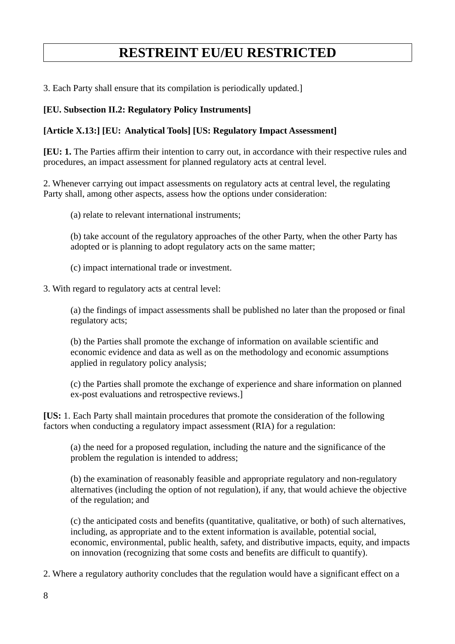3. Each Party shall ensure that its compilation is periodically updated.]

#### **[EU. Subsection II.2: Regulatory Policy Instruments]**

#### **[Article X.13:] [EU: Analytical Tools] [US: Regulatory Impact Assessment]**

**[EU: 1.** The Parties affirm their intention to carry out, in accordance with their respective rules and procedures, an impact assessment for planned regulatory acts at central level.

2. Whenever carrying out impact assessments on regulatory acts at central level, the regulating Party shall, among other aspects, assess how the options under consideration:

(a) relate to relevant international instruments;

(b) take account of the regulatory approaches of the other Party, when the other Party has adopted or is planning to adopt regulatory acts on the same matter;

(c) impact international trade or investment.

3. With regard to regulatory acts at central level:

(a) the findings of impact assessments shall be published no later than the proposed or final regulatory acts;

(b) the Parties shall promote the exchange of information on available scientific and economic evidence and data as well as on the methodology and economic assumptions applied in regulatory policy analysis;

(c) the Parties shall promote the exchange of experience and share information on planned ex-post evaluations and retrospective reviews.]

**[US:** 1. Each Party shall maintain procedures that promote the consideration of the following factors when conducting a regulatory impact assessment (RIA) for a regulation:

(a) the need for a proposed regulation, including the nature and the significance of the problem the regulation is intended to address;

(b) the examination of reasonably feasible and appropriate regulatory and non-regulatory alternatives (including the option of not regulation), if any, that would achieve the objective of the regulation; and

(c) the anticipated costs and benefits (quantitative, qualitative, or both) of such alternatives, including, as appropriate and to the extent information is available, potential social, economic, environmental, public health, safety, and distributive impacts, equity, and impacts on innovation (recognizing that some costs and benefits are difficult to quantify).

2. Where a regulatory authority concludes that the regulation would have a significant effect on a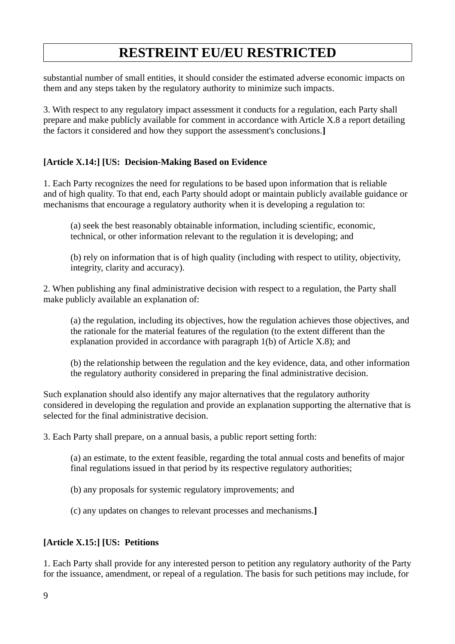substantial number of small entities, it should consider the estimated adverse economic impacts on them and any steps taken by the regulatory authority to minimize such impacts.

3. With respect to any regulatory impact assessment it conducts for a regulation, each Party shall prepare and make publicly available for comment in accordance with Article X.8 a report detailing the factors it considered and how they support the assessment's conclusions.**]**

#### **[Article X.14:] [US: Decision-Making Based on Evidence**

1. Each Party recognizes the need for regulations to be based upon information that is reliable and of high quality. To that end, each Party should adopt or maintain publicly available guidance or mechanisms that encourage a regulatory authority when it is developing a regulation to:

(a) seek the best reasonably obtainable information, including scientific, economic, technical, or other information relevant to the regulation it is developing; and

(b) rely on information that is of high quality (including with respect to utility, objectivity, integrity, clarity and accuracy).

2. When publishing any final administrative decision with respect to a regulation, the Party shall make publicly available an explanation of:

(a) the regulation, including its objectives, how the regulation achieves those objectives, and the rationale for the material features of the regulation (to the extent different than the explanation provided in accordance with paragraph 1(b) of Article X.8); and

(b) the relationship between the regulation and the key evidence, data, and other information the regulatory authority considered in preparing the final administrative decision.

Such explanation should also identify any major alternatives that the regulatory authority considered in developing the regulation and provide an explanation supporting the alternative that is selected for the final administrative decision.

3. Each Party shall prepare, on a annual basis, a public report setting forth:

(a) an estimate, to the extent feasible, regarding the total annual costs and benefits of major final regulations issued in that period by its respective regulatory authorities;

(b) any proposals for systemic regulatory improvements; and

(c) any updates on changes to relevant processes and mechanisms.**]**

#### **[Article X.15:] [US: Petitions**

1. Each Party shall provide for any interested person to petition any regulatory authority of the Party for the issuance, amendment, or repeal of a regulation. The basis for such petitions may include, for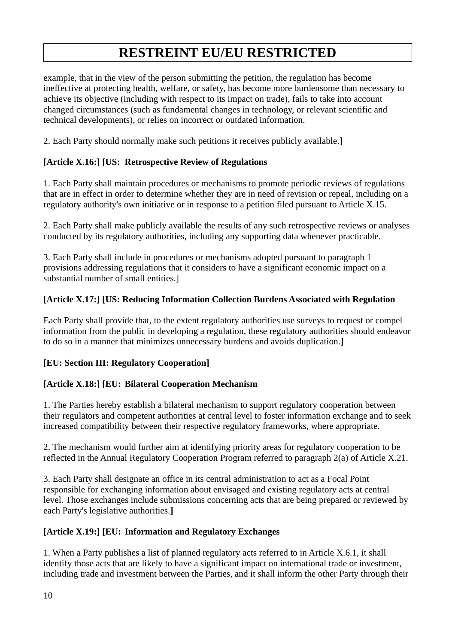example, that in the view of the person submitting the petition, the regulation has become ineffective at protecting health, welfare, or safety, has become more burdensome than necessary to achieve its objective (including with respect to its impact on trade), fails to take into account changed circumstances (such as fundamental changes in technology, or relevant scientific and technical developments), or relies on incorrect or outdated information.

2. Each Party should normally make such petitions it receives publicly available.**]**

### **[Article X.16:] [US: Retrospective Review of Regulations**

1. Each Party shall maintain procedures or mechanisms to promote periodic reviews of regulations that are in effect in order to determine whether they are in need of revision or repeal, including on a regulatory authority's own initiative or in response to a petition filed pursuant to Article X.15.

2. Each Party shall make publicly available the results of any such retrospective reviews or analyses conducted by its regulatory authorities, including any supporting data whenever practicable.

3. Each Party shall include in procedures or mechanisms adopted pursuant to paragraph 1 provisions addressing regulations that it considers to have a significant economic impact on a substantial number of small entities.]

#### **[Article X.17:] [US: Reducing Information Collection Burdens Associated with Regulation**

Each Party shall provide that, to the extent regulatory authorities use surveys to request or compel information from the public in developing a regulation, these regulatory authorities should endeavor to do so in a manner that minimizes unnecessary burdens and avoids duplication.**]**

#### **[EU: Section III: Regulatory Cooperation]**

### **[Article X.18:] [EU: Bilateral Cooperation Mechanism**

1. The Parties hereby establish a bilateral mechanism to support regulatory cooperation between their regulators and competent authorities at central level to foster information exchange and to seek increased compatibility between their respective regulatory frameworks, where appropriate.

2. The mechanism would further aim at identifying priority areas for regulatory cooperation to be reflected in the Annual Regulatory Cooperation Program referred to paragraph 2(a) of Article X.21.

3. Each Party shall designate an office in its central administration to act as a Focal Point responsible for exchanging information about envisaged and existing regulatory acts at central level. Those exchanges include submissions concerning acts that are being prepared or reviewed by each Party's legislative authorities.**]**

#### **[Article X.19:] [EU: Information and Regulatory Exchanges**

1. When a Party publishes a list of planned regulatory acts referred to in Article X.6.1, it shall identify those acts that are likely to have a significant impact on international trade or investment, including trade and investment between the Parties, and it shall inform the other Party through their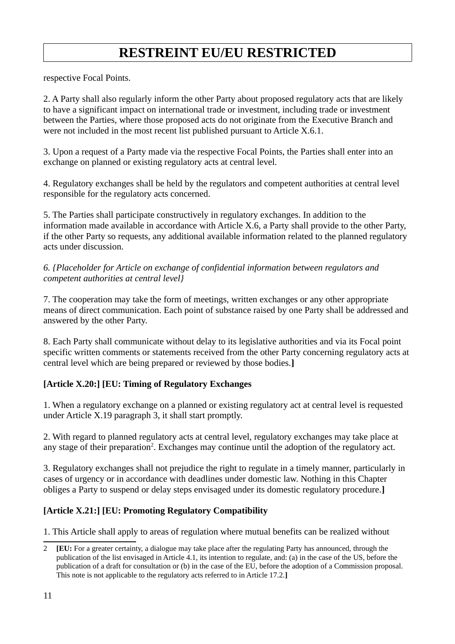respective Focal Points.

2. A Party shall also regularly inform the other Party about proposed regulatory acts that are likely to have a significant impact on international trade or investment, including trade or investment between the Parties, where those proposed acts do not originate from the Executive Branch and were not included in the most recent list published pursuant to Article X.6.1.

3. Upon a request of a Party made via the respective Focal Points, the Parties shall enter into an exchange on planned or existing regulatory acts at central level.

4. Regulatory exchanges shall be held by the regulators and competent authorities at central level responsible for the regulatory acts concerned.

5. The Parties shall participate constructively in regulatory exchanges. In addition to the information made available in accordance with Article X.6, a Party shall provide to the other Party, if the other Party so requests, any additional available information related to the planned regulatory acts under discussion.

#### *6. {Placeholder for Article on exchange of confidential information between regulators and competent authorities at central level}*

7. The cooperation may take the form of meetings, written exchanges or any other appropriate means of direct communication. Each point of substance raised by one Party shall be addressed and answered by the other Party.

8. Each Party shall communicate without delay to its legislative authorities and via its Focal point specific written comments or statements received from the other Party concerning regulatory acts at central level which are being prepared or reviewed by those bodies.**]**

### **[Article X.20:] [EU: Timing of Regulatory Exchanges**

1. When a regulatory exchange on a planned or existing regulatory act at central level is requested under Article X.19 paragraph 3, it shall start promptly.

2. With regard to planned regulatory acts at central level, regulatory exchanges may take place at any stage of their preparation<sup>2</sup>. Exchanges may continue until the adoption of the regulatory act.

3. Regulatory exchanges shall not prejudice the right to regulate in a timely manner, particularly in cases of urgency or in accordance with deadlines under domestic law. Nothing in this Chapter obliges a Party to suspend or delay steps envisaged under its domestic regulatory procedure.**]**

### **[Article X.21:] [EU: Promoting Regulatory Compatibility**

1. This Article shall apply to areas of regulation where mutual benefits can be realized without

<sup>2</sup> **[EU:** For a greater certainty, a dialogue may take place after the regulating Party has announced, through the publication of the list envisaged in Article 4.1, its intention to regulate, and: (a) in the case of the US, before the publication of a draft for consultation or (b) in the case of the EU, before the adoption of a Commission proposal. This note is not applicable to the regulatory acts referred to in Article 17.2.**]**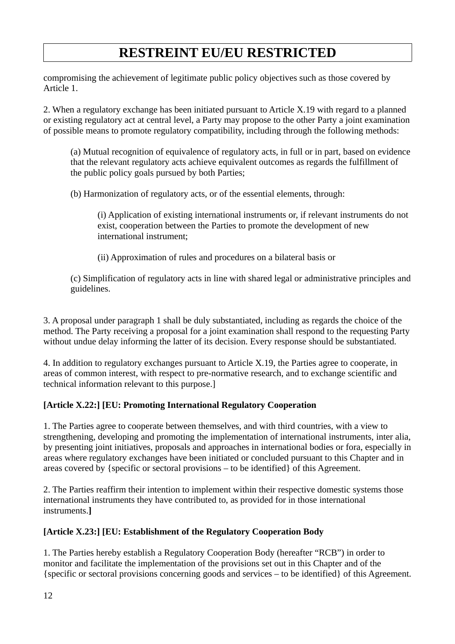compromising the achievement of legitimate public policy objectives such as those covered by Article 1.

2. When a regulatory exchange has been initiated pursuant to Article X.19 with regard to a planned or existing regulatory act at central level, a Party may propose to the other Party a joint examination of possible means to promote regulatory compatibility, including through the following methods:

(a) Mutual recognition of equivalence of regulatory acts, in full or in part, based on evidence that the relevant regulatory acts achieve equivalent outcomes as regards the fulfillment of the public policy goals pursued by both Parties;

(b) Harmonization of regulatory acts, or of the essential elements, through:

(i) Application of existing international instruments or, if relevant instruments do not exist, cooperation between the Parties to promote the development of new international instrument;

(ii) Approximation of rules and procedures on a bilateral basis or

(c) Simplification of regulatory acts in line with shared legal or administrative principles and guidelines.

3. A proposal under paragraph 1 shall be duly substantiated, including as regards the choice of the method. The Party receiving a proposal for a joint examination shall respond to the requesting Party without undue delay informing the latter of its decision. Every response should be substantiated.

4. In addition to regulatory exchanges pursuant to Article X.19, the Parties agree to cooperate, in areas of common interest, with respect to pre-normative research, and to exchange scientific and technical information relevant to this purpose.]

### **[Article X.22:] [EU: Promoting International Regulatory Cooperation**

1. The Parties agree to cooperate between themselves, and with third countries, with a view to strengthening, developing and promoting the implementation of international instruments, inter alia, by presenting joint initiatives, proposals and approaches in international bodies or fora, especially in areas where regulatory exchanges have been initiated or concluded pursuant to this Chapter and in areas covered by {specific or sectoral provisions – to be identified} of this Agreement.

2. The Parties reaffirm their intention to implement within their respective domestic systems those international instruments they have contributed to, as provided for in those international instruments.**]**

### **[Article X.23:] [EU: Establishment of the Regulatory Cooperation Body**

1. The Parties hereby establish a Regulatory Cooperation Body (hereafter "RCB") in order to monitor and facilitate the implementation of the provisions set out in this Chapter and of the {specific or sectoral provisions concerning goods and services – to be identified} of this Agreement.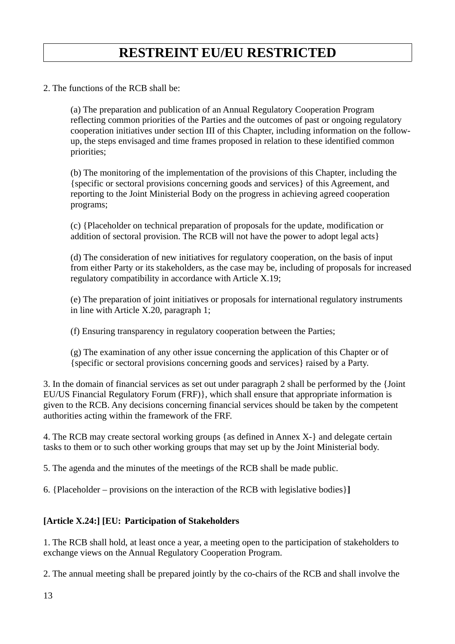2. The functions of the RCB shall be:

(a) The preparation and publication of an Annual Regulatory Cooperation Program reflecting common priorities of the Parties and the outcomes of past or ongoing regulatory cooperation initiatives under section III of this Chapter, including information on the followup, the steps envisaged and time frames proposed in relation to these identified common priorities;

(b) The monitoring of the implementation of the provisions of this Chapter, including the {specific or sectoral provisions concerning goods and services} of this Agreement, and reporting to the Joint Ministerial Body on the progress in achieving agreed cooperation programs;

(c) {Placeholder on technical preparation of proposals for the update, modification or addition of sectoral provision. The RCB will not have the power to adopt legal acts}

(d) The consideration of new initiatives for regulatory cooperation, on the basis of input from either Party or its stakeholders, as the case may be, including of proposals for increased regulatory compatibility in accordance with Article X.19;

(e) The preparation of joint initiatives or proposals for international regulatory instruments in line with Article X.20, paragraph 1;

(f) Ensuring transparency in regulatory cooperation between the Parties;

(g) The examination of any other issue concerning the application of this Chapter or of {specific or sectoral provisions concerning goods and services} raised by a Party.

3. In the domain of financial services as set out under paragraph 2 shall be performed by the {Joint EU/US Financial Regulatory Forum (FRF)}, which shall ensure that appropriate information is given to the RCB. Any decisions concerning financial services should be taken by the competent authorities acting within the framework of the FRF.

4. The RCB may create sectoral working groups {as defined in Annex X-} and delegate certain tasks to them or to such other working groups that may set up by the Joint Ministerial body.

5. The agenda and the minutes of the meetings of the RCB shall be made public.

6. {Placeholder – provisions on the interaction of the RCB with legislative bodies}**]**

#### **[Article X.24:] [EU: Participation of Stakeholders**

1. The RCB shall hold, at least once a year, a meeting open to the participation of stakeholders to exchange views on the Annual Regulatory Cooperation Program.

2. The annual meeting shall be prepared jointly by the co-chairs of the RCB and shall involve the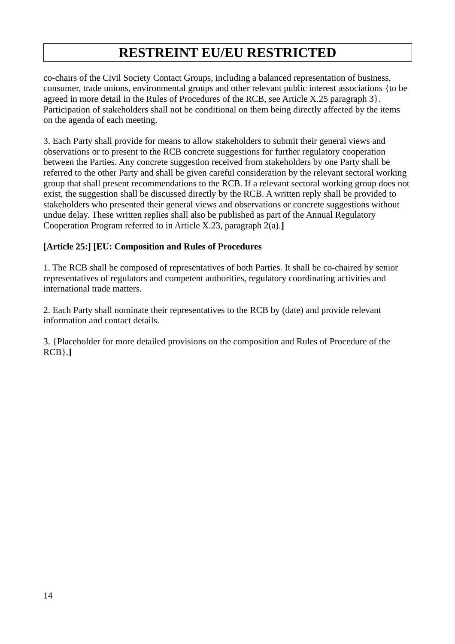co-chairs of the Civil Society Contact Groups, including a balanced representation of business, consumer, trade unions, environmental groups and other relevant public interest associations {to be agreed in more detail in the Rules of Procedures of the RCB, see Article X.25 paragraph 3}. Participation of stakeholders shall not be conditional on them being directly affected by the items on the agenda of each meeting.

3. Each Party shall provide for means to allow stakeholders to submit their general views and observations or to present to the RCB concrete suggestions for further regulatory cooperation between the Parties. Any concrete suggestion received from stakeholders by one Party shall be referred to the other Party and shall be given careful consideration by the relevant sectoral working group that shall present recommendations to the RCB. If a relevant sectoral working group does not exist, the suggestion shall be discussed directly by the RCB. A written reply shall be provided to stakeholders who presented their general views and observations or concrete suggestions without undue delay. These written replies shall also be published as part of the Annual Regulatory Cooperation Program referred to in Article X.23, paragraph 2(a).**]**

#### **[Article 25:] [EU: Composition and Rules of Procedures**

1. The RCB shall be composed of representatives of both Parties. It shall be co-chaired by senior representatives of regulators and competent authorities, regulatory coordinating activities and international trade matters.

2. Each Party shall nominate their representatives to the RCB by (date) and provide relevant information and contact details.

3. {Placeholder for more detailed provisions on the composition and Rules of Procedure of the RCB}.**]**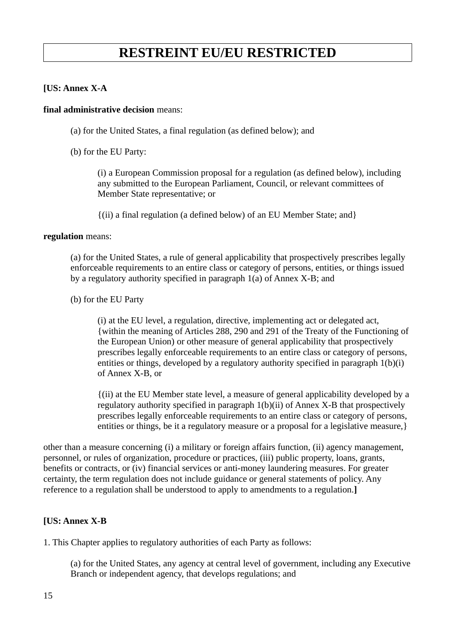#### **[US: Annex X-A**

#### **final administrative decision** means:

(a) for the United States, a final regulation (as defined below); and

(b) for the EU Party:

(i) a European Commission proposal for a regulation (as defined below), including any submitted to the European Parliament, Council, or relevant committees of Member State representative; or

{(ii) a final regulation (a defined below) of an EU Member State; and}

#### **regulation** means:

(a) for the United States, a rule of general applicability that prospectively prescribes legally enforceable requirements to an entire class or category of persons, entities, or things issued by a regulatory authority specified in paragraph 1(a) of Annex X-B; and

(b) for the EU Party

(i) at the EU level, a regulation, directive, implementing act or delegated act, {within the meaning of Articles 288, 290 and 291 of the Treaty of the Functioning of the European Union) or other measure of general applicability that prospectively prescribes legally enforceable requirements to an entire class or category of persons, entities or things, developed by a regulatory authority specified in paragraph 1(b)(i) of Annex X-B, or

{(ii) at the EU Member state level, a measure of general applicability developed by a regulatory authority specified in paragraph 1(b)(ii) of Annex X-B that prospectively prescribes legally enforceable requirements to an entire class or category of persons, entities or things, be it a regulatory measure or a proposal for a legislative measure, }

other than a measure concerning (i) a military or foreign affairs function, (ii) agency management, personnel, or rules of organization, procedure or practices, (iii) public property, loans, grants, benefits or contracts, or (iv) financial services or anti-money laundering measures. For greater certainty, the term regulation does not include guidance or general statements of policy. Any reference to a regulation shall be understood to apply to amendments to a regulation.**]**

#### **[US: Annex X-B**

1. This Chapter applies to regulatory authorities of each Party as follows:

(a) for the United States, any agency at central level of government, including any Executive Branch or independent agency, that develops regulations; and